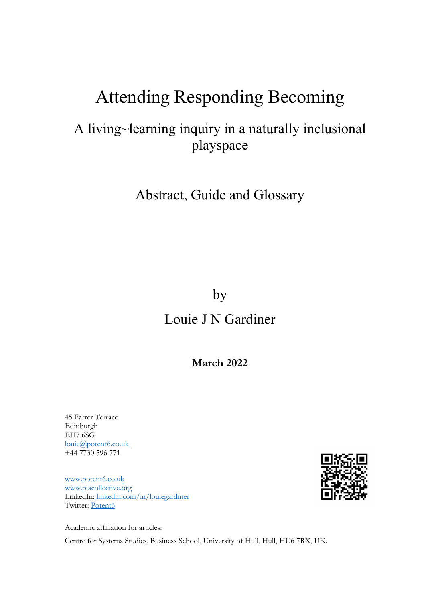# Attending Responding Becoming

# A living~learning inquiry in a naturally inclusional playspace

## Abstract, Guide and Glossary

### by

# Louie J N Gardiner

### **March 2022**

45 Farrer Terrace Edinburgh EH7 6SG [louie@potent6.co.uk](mailto:louie@potent6.co.uk)  +44 7730 596 771

[www.potent6.co.uk](http://www.potent6.co.uk/) [www.piacollective.org](http://www.piacollective.org/) LinkedIn: [linkedin.com/in/louiegardiner](https://www.linkedin.com/in/louiegardiner) Twitter: [Potent6](https://twitter.com/Potent6)

Academic affiliation for articles:

Centre for Systems Studies, Business School, University of Hull, Hull, HU6 7RX, UK.

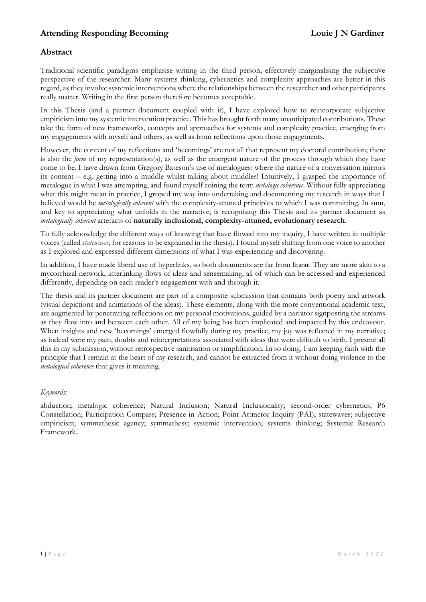#### **Abstract**

Traditional scientific paradigms emphasise writing in the third person, effectively marginalising the subjective perspective of the researcher. Many systems thinking, cybernetics and complexity approaches are better in this regard, as they involve systemic interventions where the relationships between the researcher and other participants really matter. Writing in the first person therefore becomes acceptable.

In this Thesis (and a partner document coupled with it), I have explored how to reincorporate subjective empiricism into my systemic intervention practice. This has brought forth many unanticipated contributions. These take the form of new frameworks, concepts and approaches for systems and complexity practice, emerging from my engagements with myself and others, as well as from reflections upon those engagements.

However, the content of my reflections and 'becomings' are not all that represent my doctoral contribution; there is also the *form* of my representation(s), as well as the emergent nature of the process through which they have come to be. I have drawn from Gregory Bateson's use of metalogues: where the nature of a conversation mirrors its content – e.g. getting into a muddle whilst talking about muddles! Intuitively, I grasped the importance of metalogue in what I was attempting, and found myself coining the term *metalogic coherence*. Without fully appreciating what this might mean in practice, I groped my way into undertaking and documenting my research in ways that I believed would be *metalogically coherent* with the complexity-attuned principles to which I was committing. In sum, and key to appreciating what unfolds in the narrative, is recognising this Thesis and its partner document as *metalogically coherent* artefacts of **naturally inclusional, complexity-attuned, evolutionary research**.

To fully acknowledge the different ways of knowing that have flowed into my inquiry, I have written in multiple voices (called *statewaves*, for reasons to be explained in the thesis). I found myself shifting from one voice to another as I explored and expressed different dimensions of what I was experiencing and discovering.

In addition, I have made liberal use of hyperlinks, so both documents are far from linear. They are more akin to a mycorrhizal network, interlinking flows of ideas and sensemaking, all of which can be accessed and experienced differently, depending on each reader's engagement with and through it.

The thesis and its partner document are part of a composite submission that contains both poetry and artwork (visual depictions and animations of the ideas). These elements, along with the more conventional academic text, are augmented by penetrating reflections on my personal motivations, guided by a narrator signposting the streams as they flow into and between each other. All of my being has been implicated and impacted by this endeavour. When insights and new 'becomings' emerged flowfully during my practice, my joy was reflected in my narrative; as indeed were my pain, doubts and reinterpretations associated with ideas that were difficult to birth. I present all this in my submission, without retrospective sanitisation or simplification. In so doing, I am keeping faith with the principle that I remain at the heart of my research, and cannot be extracted from it without doing violence to the *metalogical coherence* that gives it meaning.

#### *Keywords:*

abduction; metalogic coherence; Natural Inclusion; Natural Inclusionality; second-order cybernetics; P6 Constellation; Participation Compass; Presence in Action; Point Attractor Inquiry (PAI); statewaves; subjective empiricism; symmathesic agency; symmathesy; systemic intervention; systems thinking; Systemic Research Framework.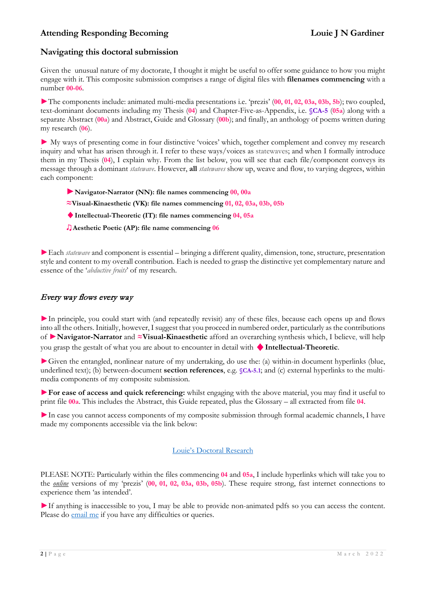#### **Navigating this doctoral submission**

Given the unusual nature of my doctorate, I thought it might be useful to offer some guidance to how you might engage with it. This composite submission comprises a range of digital files with **filenames commencing** with a number **00-06**.

►The components include: animated multi-media presentations i.e. 'prezis' (**00, 01, 02, 03a, 03b, 5b**); two coupled, text-dominant documents including my Thesis (**04**) and Chapter-Five-as-Appendix, i.e. **§CA-5** (**05a**) along with a separate Abstract (**00a**) and Abstract, Guide and Glossary (**00b**); and finally, an anthology of poems written during my research (**06**).

► My ways of presenting come in four distinctive 'voices' which, together complement and convey my research inquiry and what has arisen through it. I refer to these ways/voices as statewaves; and when I formally introduce them in my Thesis (**04**), I explain why. From the list below, you will see that each file/component conveys its message through a dominant *statewave*. However, **all** *statewaves* show up, weave and flow, to varying degrees, within each component:

- ►**Navigator-Narrator (NN): file names commencing 00, 00a**
- **≈Visual-Kinaesthetic (VK): file names commencing 01, 02, 03a, 03b, 05b**
- ♦**Intellectual-Theoretic (IT): file names commencing 04, 05a**
- ♫**Aesthetic Poetic (AP): file name commencing 06**

►Each *statewave* and component is essential – bringing a different quality, dimension, tone, structure, presentation style and content to my overall contribution. Each is needed to grasp the distinctive yet complementary nature and essence of the '*abductive fruits*' of my research.

#### Every way flows every way

►In principle, you could start with (and repeatedly revisit) any of these files, because each opens up and flows into all the others. Initially, however, I suggest that you proceed in numbered order, particularly as the contributions of ►**Navigator-Narrator** and **≈Visual-Kinaesthetic** afford an overarching synthesis which, I believe, will help you grasp the gestalt of what you are about to encounter in detail with ♦**Intellectual-Theoretic**.

►Given the entangled, nonlinear nature of my undertaking, do use the: (a) within-in document hyperlinks (blue, underlined text); (b) between-document **section references**, e.g. **§CA-5.1**; and (c) external hyperlinks to the multimedia components of my composite submission.

►**For ease of access and quick referencing:** whilst engaging with the above material, you may find it useful to print file **00a**. This includes the Abstract, this Guide repeated, plus the Glossary – all extracted from file **04**.

►In case you cannot access components of my composite submission through formal academic channels, I have made my components accessible via the link below:

#### [Louie's Doctoral Research](https://potent6.co.uk/learning-opportunities/louies-doctoral-research/)

PLEASE NOTE: Particularly within the files commencing **04** and **05a**, I include hyperlinks which will take you to the *online* versions of my 'prezis' (**00, 01, 02, 03a, 03b, 05b**). These require strong, fast internet connections to experience them 'as intended'.

►If anything is inaccessible to you, I may be able to provide non-animated pdfs so you can access the content. Please do **email me** if you have any difficulties or queries.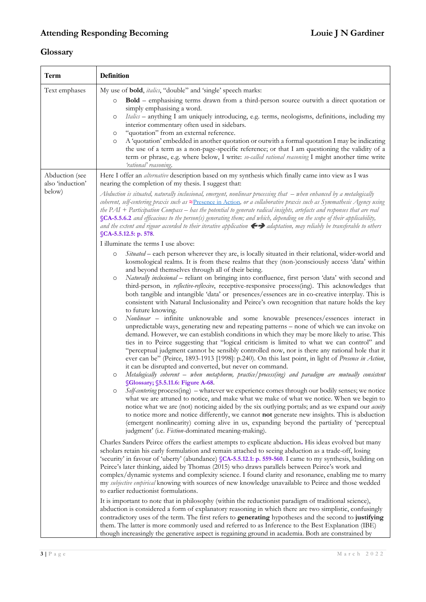### **Glossary**

| <b>Term</b>                                  | <b>Definition</b>                                                                                                                                                                                                                                                                                                                                                                                                                                                                                                                                                                                                                                                                                                                                                                                                                                                                                                                                                                                                                                                                                                                                                                                                                                                                                                                                                                                                                                                                                                                                                                                                                                                                                                                                                                                                                                                                                                                                                                                                                                                                                                                                                                                                                                                                                                                                                                                                                                                                                                                                                                                                                                                                                                                                                                                                                                                                                                                                                                                                                                                                                                                                                                                                                                                                                                                                                                                                                                                                                                                                                                                                                                                                                              |
|----------------------------------------------|----------------------------------------------------------------------------------------------------------------------------------------------------------------------------------------------------------------------------------------------------------------------------------------------------------------------------------------------------------------------------------------------------------------------------------------------------------------------------------------------------------------------------------------------------------------------------------------------------------------------------------------------------------------------------------------------------------------------------------------------------------------------------------------------------------------------------------------------------------------------------------------------------------------------------------------------------------------------------------------------------------------------------------------------------------------------------------------------------------------------------------------------------------------------------------------------------------------------------------------------------------------------------------------------------------------------------------------------------------------------------------------------------------------------------------------------------------------------------------------------------------------------------------------------------------------------------------------------------------------------------------------------------------------------------------------------------------------------------------------------------------------------------------------------------------------------------------------------------------------------------------------------------------------------------------------------------------------------------------------------------------------------------------------------------------------------------------------------------------------------------------------------------------------------------------------------------------------------------------------------------------------------------------------------------------------------------------------------------------------------------------------------------------------------------------------------------------------------------------------------------------------------------------------------------------------------------------------------------------------------------------------------------------------------------------------------------------------------------------------------------------------------------------------------------------------------------------------------------------------------------------------------------------------------------------------------------------------------------------------------------------------------------------------------------------------------------------------------------------------------------------------------------------------------------------------------------------------------------------------------------------------------------------------------------------------------------------------------------------------------------------------------------------------------------------------------------------------------------------------------------------------------------------------------------------------------------------------------------------------------------------------------------------------------------------------------------------------|
| Text emphases                                | My use of <b>bold</b> , <i>italics</i> , "double" and 'single' speech marks:<br><b>Bold</b> – emphasising terms drawn from a third-person source outwith a direct quotation or<br>$\circ$<br>simply emphasising a word.<br>Italics - anything I am uniquely introducing, e.g. terms, neologisms, definitions, including my<br>$\circ$<br>interior commentary often used in sidebars.<br>"quotation" from an external reference.<br>O<br>A 'quotation' embedded in another quotation or outwith a formal quotation I may be indicating<br>$\circ$<br>the use of a term as a non-page-specific reference; or that I am questioning the validity of a<br>term or phrase, e.g. where below, I write: so-called rational reasoning I might another time write<br>'rational' reasoning.                                                                                                                                                                                                                                                                                                                                                                                                                                                                                                                                                                                                                                                                                                                                                                                                                                                                                                                                                                                                                                                                                                                                                                                                                                                                                                                                                                                                                                                                                                                                                                                                                                                                                                                                                                                                                                                                                                                                                                                                                                                                                                                                                                                                                                                                                                                                                                                                                                                                                                                                                                                                                                                                                                                                                                                                                                                                                                                              |
| Abduction (see<br>also 'induction'<br>below) | Here I offer an <i>alternative</i> description based on my synthesis which finally came into view as I was<br>nearing the completion of my thesis. I suggest that:<br>Abduction is situated, naturally inclusional, emergent, nonlinear processing that – when enhanced by a metalogically<br>coherent, self-centering praxis such as ≈Presence in Action, or a collaborative praxis such as Symmathesic Agency using<br>the $PAI$ + Participation Compass – has the potential to generate radical insights, artefacts and responses that are real<br>SCA-5.5.6.2 and efficacious to the person(s) generating them; and which, depending on the scope of their applicability,<br>and the extent and rigour accorded to their iterative application $\leftrightarrow$ adaptation, may reliably be transferable to others<br>SCA-5.5.12.5: p. 578<br>I illuminate the terms I use above:<br>Situated - each person wherever they are, is locally situated in their relational, wider-world and<br>$\circ$<br>kosmological realms. It is from these realms that they (non-)consciously access 'data' within<br>and beyond themselves through all of their being.<br>Naturally inclusional - reliant on bringing into confluence, first person 'data' with second and<br>$\circ$<br>third-person, in <i>reflective-reflexive</i> , receptive-responsive process(ing). This acknowledges that<br>both tangible and intangible 'data' or presences/essences are in co-creative interplay. This is<br>consistent with Natural Inclusionality and Peirce's own recognition that nature holds the key<br>to future knowing.<br>Nonlinear - infinite unknowable and some knowable presences/essences interact in<br>$\circ$<br>unpredictable ways, generating new and repeating patterns - none of which we can invoke on<br>demand. However, we can establish conditions in which they may be more likely to arise. This<br>ties in to Peirce suggesting that "logical criticism is limited to what we can control" and<br>"perceptual judgment cannot be sensibly controlled now, nor is there any rational hole that it<br>ever can be" (Peirce, 1893-1913 [1998]: p.240). On this last point, in light of Presence in Action,<br>it can be disrupted and converted, but never on command.<br>Metalogically coherent – when metaphorm, practice/process(ing) and paradigm are mutually consistent<br>$\circ$<br>§Glossary; §5.5.11.6: Figure A-68.<br>Self-centering process(ing) - whatever we experience comes through our bodily senses; we notice<br>$\circ$<br>what we are attuned to notice, and make what we make of what we notice. When we begin to<br>notice what we are (not) noticing aided by the six outlying portals; and as we expand our <i>acuity</i><br>to notice more and notice differently, we cannot not generate new insights. This is abduction<br>(emergent nonlinearity) coming alive in us, expanding beyond the partiality of 'perceptual<br>judgment' (i.e. Fiction-dominated meaning-making).<br>Charles Sanders Peirce offers the earliest attempts to explicate abduction. His ideas evolved but many<br>scholars retain his early formulation and remain attached to seeing abduction as a trade-off, losing<br>'security' in favour of 'uberty' (abundance) §CA-5.5.12.1: p. 559-560. I came to my synthesis, building on<br>Peirce's later thinking, aided by Thomas (2015) who draws parallels between Peirce's work and<br>complex/dynamic systems and complexity science. I found clarity and resonance, enabling me to marry<br>my subjective empirical knowing with sources of new knowledge unavailable to Peirce and those wedded<br>to earlier reductionist formulations. |
|                                              | It is important to note that in philosophy (within the reductionist paradigm of traditional science),<br>abduction is considered a form of explanatory reasoning in which there are two simplistic, confusingly<br>contradictory uses of the term. The first refers to generating hypotheses and the second to justifying<br>them. The latter is more commonly used and referred to as Inference to the Best Explanation (IBE)<br>though increasingly the generative aspect is regaining ground in academia. Both are constrained by                                                                                                                                                                                                                                                                                                                                                                                                                                                                                                                                                                                                                                                                                                                                                                                                                                                                                                                                                                                                                                                                                                                                                                                                                                                                                                                                                                                                                                                                                                                                                                                                                                                                                                                                                                                                                                                                                                                                                                                                                                                                                                                                                                                                                                                                                                                                                                                                                                                                                                                                                                                                                                                                                                                                                                                                                                                                                                                                                                                                                                                                                                                                                                           |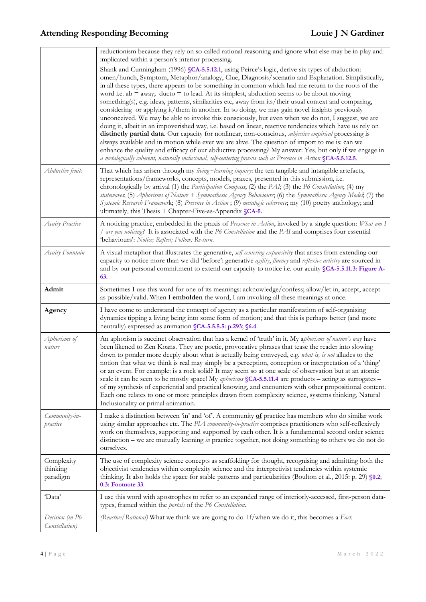|                                    | reductionism because they rely on so-called rational reasoning and ignore what else may be in play and<br>implicated within a person's interior processing.<br>Shank and Cunningham (1996) §CA-5.5.12.1, using Peirce's logic, derive six types of abduction:<br>omen/hunch, Symptom, Metaphor/analogy, Clue, Diagnosis/scenario and Explanation. Simplistically,<br>in all these types, there appears to be something in common which had me return to the roots of the<br>word i.e. ab $=$ away; ducto $=$ to lead. At its simplest, abduction seems to be about moving<br>something(s), e.g. ideas, patterns, similarities etc, away from its/their usual context and comparing,<br>considering or applying it/them in another. In so doing, we may gain novel insights previously<br>unconceived. We may be able to invoke this consciously, but even when we do not, I suggest, we are<br>doing it, albeit in an impoverished way, i.e. based on linear, reactive tendencies which have us rely on<br>distinctly partial data. Our capacity for nonlinear, non-conscious, subjective empirical processing is<br>always available and in motion while ever we are alive. The question of import to me is: can we |
|------------------------------------|----------------------------------------------------------------------------------------------------------------------------------------------------------------------------------------------------------------------------------------------------------------------------------------------------------------------------------------------------------------------------------------------------------------------------------------------------------------------------------------------------------------------------------------------------------------------------------------------------------------------------------------------------------------------------------------------------------------------------------------------------------------------------------------------------------------------------------------------------------------------------------------------------------------------------------------------------------------------------------------------------------------------------------------------------------------------------------------------------------------------------------------------------------------------------------------------------------------------|
|                                    | enhance the quality and efficacy of our abductive processing? My answer: Yes, but only if we engage in<br>a metalogically coherent, naturally inclusional, self-centering praxis such as Presence in Action SCA-5.5.12.5.                                                                                                                                                                                                                                                                                                                                                                                                                                                                                                                                                                                                                                                                                                                                                                                                                                                                                                                                                                                            |
| Abductive fruits                   | That which has arisen through my living~learning inquiry: the ten tangible and intangible artefacts,<br>representations/frameworks, concepts, models, praxes, presented in this submission, i.e.<br>chronologically by arrival (1) the <i>Participation Compass</i> ; (2) the <i>PAI</i> ; (3) the <i>P6 Constellation</i> ; (4) my<br>statewaves, (5) Aphorisms of Nature + Symmathesic Agency Behaviours, (6) the Symmathesic Agency Model; (7) the<br>Systemic Research Framework; (8) Presence in Action; (9) metalogic coherence; my (10) poetry anthology; and<br>ultimately, this Thesis $+$ Chapter-Five-as-Appendix $\mathcal{S}$ CA-5.                                                                                                                                                                                                                                                                                                                                                                                                                                                                                                                                                                     |
| Acuity Practice                    | A noticing practice, embedded in the praxis of Presence in Action, invoked by a single question: What am I<br>/ are you noticing? It is associated with the P6 Constellation and the PAI and comprises four essential<br>'behaviours': Notice; Reflect; Follow; Re-turn.                                                                                                                                                                                                                                                                                                                                                                                                                                                                                                                                                                                                                                                                                                                                                                                                                                                                                                                                             |
| Acuity Fountain                    | A visual metaphor that illustrates the generative, self-centering expansivity that arises from extending our<br>capacity to notice more than we did 'before': generative agility, fluency and reflexive artistry are sourced in<br>and by our personal commitment to extend our capacity to notice i.e. our acuity SCA-5.5.11.3: Figure A-<br>63.                                                                                                                                                                                                                                                                                                                                                                                                                                                                                                                                                                                                                                                                                                                                                                                                                                                                    |
| Admit                              | Sometimes I use this word for one of its meanings: acknowledge/confess; allow/let in, accept, accept<br>as possible/valid. When I embolden the word, I am invoking all these meanings at once.                                                                                                                                                                                                                                                                                                                                                                                                                                                                                                                                                                                                                                                                                                                                                                                                                                                                                                                                                                                                                       |
| Agency                             | I have come to understand the concept of agency as a particular manifestation of self-organising<br>dynamics tipping a living being into some form of motion; and that this is perhaps better (and more<br>neutrally) expressed as animation SCA-5.5.5.5: p.293; S6.4.                                                                                                                                                                                                                                                                                                                                                                                                                                                                                                                                                                                                                                                                                                                                                                                                                                                                                                                                               |
| Aphorisms of<br>nature             | An aphorism is succinct observation that has a kernel of 'truth' in it. My aphorisms of nature's way have<br>been likened to Zen Koans. They are poetic, provocative phrases that tease the reader into slowing<br>down to ponder more deeply about what is actually being conveyed, e.g. what is, is not alludes to the<br>notion that what we think is real may simply be a perception, conception or interpretation of a 'thing'<br>or an event. For example: is a rock solid? It may seem so at one scale of observation but at an atomic<br>scale it can be seen to be mostly space! My aphorisms SCA-5.5.11.4 are products - acting as surrogates -<br>of my synthesis of experiential and practical knowing, and encounters with other propositional content.<br>Each one relates to one or more principles drawn from complexity science, systems thinking, Natural<br>Inclusionality or primal animation.                                                                                                                                                                                                                                                                                                   |
| Community-in-<br>practice          | I make a distinction between 'in' and 'of'. A community of practice has members who do similar work<br>using similar approaches etc. The PLA community-in-practice comprises practitioners who self-reflexively<br>work on themselves, supporting and supported by each other. It is a fundamental second order science<br>distinction – we are mutually learning in practice together, not doing something to others we do not do<br>ourselves.                                                                                                                                                                                                                                                                                                                                                                                                                                                                                                                                                                                                                                                                                                                                                                     |
| Complexity<br>thinking<br>paradigm | The use of complexity science concepts as scaffolding for thought, recognising and admitting both the<br>objectivist tendencies within complexity science and the interpretivist tendencies within systemic<br>thinking. It also holds the space for stable patterns and particularities (Boulton et al., 2015: p. 29) §0.2;<br>0.3: Footnote 33.                                                                                                                                                                                                                                                                                                                                                                                                                                                                                                                                                                                                                                                                                                                                                                                                                                                                    |
| 'Data'                             | I use this word with apostrophes to refer to an expanded range of interiorly-accessed, first-person data-<br>types, framed within the portals of the P6 Constellation.                                                                                                                                                                                                                                                                                                                                                                                                                                                                                                                                                                                                                                                                                                                                                                                                                                                                                                                                                                                                                                               |
| Decision (in P6<br>Constellation)  | (Reactive/ Rational) What we think we are going to do. If/when we do it, this becomes a Fact.                                                                                                                                                                                                                                                                                                                                                                                                                                                                                                                                                                                                                                                                                                                                                                                                                                                                                                                                                                                                                                                                                                                        |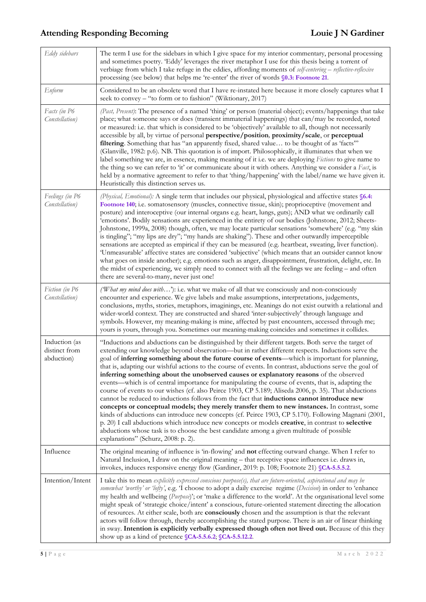| Eddy sidebars                                | The term I use for the sidebars in which I give space for my interior commentary, personal processing<br>and sometimes poetry. 'Eddy' leverages the river metaphor I use for this thesis being a torrent of<br>verbiage from which I take refuge in the eddies, affording moments of self-centering - reflective-reflexive<br>processing (see below) that helps me 're-enter' the river of words §0.3: Footnote 21.                                                                                                                                                                                                                                                                                                                                                                                                                                                                                                                                                                                                                                                                                                                                                                                                                                                              |
|----------------------------------------------|----------------------------------------------------------------------------------------------------------------------------------------------------------------------------------------------------------------------------------------------------------------------------------------------------------------------------------------------------------------------------------------------------------------------------------------------------------------------------------------------------------------------------------------------------------------------------------------------------------------------------------------------------------------------------------------------------------------------------------------------------------------------------------------------------------------------------------------------------------------------------------------------------------------------------------------------------------------------------------------------------------------------------------------------------------------------------------------------------------------------------------------------------------------------------------------------------------------------------------------------------------------------------------|
| Enform                                       | Considered to be an obsolete word that I have re-instated here because it more closely captures what I<br>seek to convey – "to form or to fashion" (Wiktionary, 2017)                                                                                                                                                                                                                                                                                                                                                                                                                                                                                                                                                                                                                                                                                                                                                                                                                                                                                                                                                                                                                                                                                                            |
| Facts (in P6<br>Constellation)               | (Past, Present): The presence of a named 'thing' or person (material object); events/happenings that take<br>place; what someone says or does (transient immaterial happenings) that can/may be recorded, noted<br>or measured: i.e. that which is considered to be 'objectively' available to all, though not necessarily<br>accessible by all, by virtue of personal perspective/position, proximity/scale, or perceptual<br>filtering. Something that has "an apparently fixed, shared value to be thought of as 'facts'"<br>(Glanville, 1982: p.6). NB. This quotation is of import. Philosophically, it illuminates that when we<br>label something we are, in essence, making meaning of it i.e. we are deploying <i>Fictions</i> to give name to<br>the thing so we can refer to 'it' or communicate about it with others. Anything we consider a Fact, is<br>held by a normative agreement to refer to that 'thing/happening' with the label/name we have given it.<br>Heuristically this distinction serves us.                                                                                                                                                                                                                                                         |
| Feelings (in P6<br>Constellation)            | (Physical, Emotional): A single term that includes our physical, physiological and affective states §6.4:<br>Footnote 140; i.e. somatosensory (muscles, connective tissue, skin); proprioceptive (movement and<br>posture) and interoceptive (our internal organs e.g. heart, lungs, guts); AND what we ordinarily call<br>'emotions'. Bodily sensations are experienced in the entirety of our bodies (Johnstone, 2012; Sheets-<br>Johnstone, 1999a, 2008) though, often, we may locate particular sensations 'somewhere' (e.g. "my skin<br>is tingling"; "my lips are dry"; "my hands are shaking"). These and other outwardly imperceptible<br>sensations are accepted as empirical if they can be measured (e.g. heartbeat, sweating, liver function).<br>'Unmeasurable' affective states are considered 'subjective' (which means that an outsider cannot know<br>what goes on inside another); e.g. emotions such as anger, disappointment, frustration, delight, etc. In<br>the midst of experiencing, we simply need to connect with all the feelings we are feeling – and often<br>there are several-to-many, never just one!                                                                                                                                           |
| Fiction (in P6<br>Constellation)             | (What my mind does with'): i.e. what we make of all that we consciously and non-consciously<br>encounter and experience. We give labels and make assumptions, interpretations, judgements,<br>conclusions, myths, stories, metaphors, imaginings, etc. Meanings do not exist outwith a relational and<br>wider-world context. They are constructed and shared 'inter-subjectively' through language and<br>symbols. However, my meaning-making is mine, affected by past encounters, accessed through me;<br>yours is yours, through you. Sometimes our meaning-making coincides and sometimes it collides.                                                                                                                                                                                                                                                                                                                                                                                                                                                                                                                                                                                                                                                                      |
| Induction (as<br>distinct from<br>abduction) | "Inductions and abductions can be distinguished by their different targets. Both serve the target of<br>extending our knowledge beyond observation-but in rather different respects. Inductions serve the<br>goal of inferring something about the future course of events—which is important for planning,<br>that is, adapting our wishful actions to the course of events. In contrast, abductions serve the goal of<br>inferring something about the unobserved causes or explanatory reasons of the observed<br>events—which is of central importance for manipulating the course of events, that is, adapting the<br>course of events to our wishes (cf. also Peirce 1903, CP 5.189; Aliseda 2006, p. 35). That abductions<br>cannot be reduced to inductions follows from the fact that inductions cannot introduce new<br>concepts or conceptual models; they merely transfer them to new instances. In contrast, some<br>kinds of abductions can introduce new concepts (cf. Peirce 1903, CP 5.170). Following Magnani (2001,<br>p. 20) I call abductions which introduce new concepts or models creative, in contrast to selective<br>abductions whose task is to choose the best candidate among a given multitude of possible<br>explanations" (Schurz, 2008: p. 2). |
| Influence                                    | The original meaning of influence is 'in-flowing' and not effecting outward change. When I refer to<br>Natural Inclusion, I draw on the original meaning – that receptive space influences i.e. draws in,<br>invokes, induces responsive energy flow (Gardiner, 2019: p. 108; Footnote 21) §CA-5.5.5.2.                                                                                                                                                                                                                                                                                                                                                                                                                                                                                                                                                                                                                                                                                                                                                                                                                                                                                                                                                                          |
| Intention/Intent                             | I take this to mean explicitly expressed conscious purpose(s), that are future-oriented, aspirational and may be<br>somewhat 'worthy' or 'lofty', e.g. 'I choose to adopt a daily exercise regime (Decision) in order to 'enhance<br>my health and wellbeing ( $Purpose$ )'; or 'make a difference to the world'. At the organisational level some<br>might speak of 'strategic choice/intent' a conscious, future-oriented statement directing the allocation<br>of resources. At either scale, both are consciously chosen and the assumption is that the relevant<br>actors will follow through, thereby accomplishing the stated purpose. There is an air of linear thinking<br>in sway. Intention is explicitly verbally expressed though often not lived out. Because of this they<br>show up as a kind of pretence SCA-5.5.6.2; SCA-5.5.12.2.                                                                                                                                                                                                                                                                                                                                                                                                                             |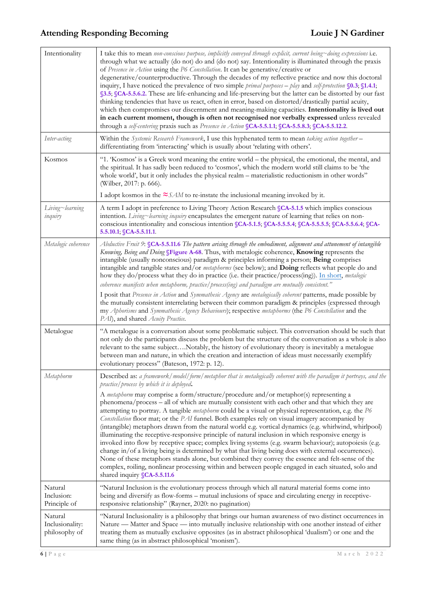| Intentionality                              | I take this to mean non-conscious purpose, implicitly conveyed through explicit, current being~doing expressions i.e.<br>through what we actually (do not) do and (do not) say. Intentionality is illuminated through the praxis<br>of Presence in Action using the P6 Constellation. It can be generative/creative or<br>degenerative/counterproductive. Through the decades of my reflective practice and now this doctoral<br>inquiry, I have noticed the prevalence of two simple <i>primal purposes – play</i> and <i>self-protection</i> $\S$ 0.3; $\S$ 1.4.1;<br>§3.5; §CA-5.5.6.2. These are life-enhancing and life-preserving but the latter can be distorted by our fast<br>thinking tendencies that have us react, often in error, based on distorted/drastically partial acuity,<br>which then compromises our discernment and meaning-making capacities. Intentionality is lived out<br>in each current moment, though is often not recognised nor verbally expressed unless revealed<br>through a self-centering praxis such as Presence in Action SCA-5.5.1.1; SCA-5.5.8.3; SCA-5.5.12.2. |
|---------------------------------------------|-----------------------------------------------------------------------------------------------------------------------------------------------------------------------------------------------------------------------------------------------------------------------------------------------------------------------------------------------------------------------------------------------------------------------------------------------------------------------------------------------------------------------------------------------------------------------------------------------------------------------------------------------------------------------------------------------------------------------------------------------------------------------------------------------------------------------------------------------------------------------------------------------------------------------------------------------------------------------------------------------------------------------------------------------------------------------------------------------------------|
| Inter-acting                                | Within the Systemic Research Framework, I use this hyphenated term to mean taking action together -<br>differentiating from 'interacting' which is usually about 'relating with others'.                                                                                                                                                                                                                                                                                                                                                                                                                                                                                                                                                                                                                                                                                                                                                                                                                                                                                                                  |
| Kosmos                                      | "1. 'Kosmos' is a Greek word meaning the entire world - the physical, the emotional, the mental, and<br>the spiritual. It has sadly been reduced to 'cosmos', which the modern world still claims to be 'the<br>whole world', but it only includes the physical realm – materialistic reductionism in other words"<br>(Wilber, 2017: p. 666).                                                                                                                                                                                                                                                                                                                                                                                                                                                                                                                                                                                                                                                                                                                                                             |
|                                             | I adopt kosmos in the $\approx$ SAM to re-instate the inclusional meaning invoked by it.                                                                                                                                                                                                                                                                                                                                                                                                                                                                                                                                                                                                                                                                                                                                                                                                                                                                                                                                                                                                                  |
| Living~learning<br>inquiry                  | A term I adopt in preference to Living Theory Action Research §CA-5.1.5 which implies conscious<br>intention. Living~learning inquiry encapsulates the emergent nature of learning that relies on non-<br>conscious intentionality and conscious intention §CA-5.1.5; §CA-5.5.5.4; §CA-5.5.5.5; §CA-5.5.6.4; §CA-<br>5.5.10.1; SCA-5.5.11.1                                                                                                                                                                                                                                                                                                                                                                                                                                                                                                                                                                                                                                                                                                                                                               |
| Metalogic coherence                         | Abductive Fruit 9: SCA-5.5.11.6 The pattern arising through the embodiment, alignment and attunement of intangible<br>Knowing, Being and Doing §Figure A-68. Thus, with metalogic coherence, Knowing represents the<br>intangible (usually nonconscious) paradigm & principles informing a person; Being comprises<br>intangible and tangible states and/or metaphorms (see below); and Doing reflects what people do and<br>how they do/process what they do in practice (i.e. their practice/process(ing)). In short, metalogic<br>coherence manifests when metaphorm, practice/ process(ing) and paradigm are mutually consistent."                                                                                                                                                                                                                                                                                                                                                                                                                                                                    |
|                                             | I posit that Presence in Action and Symmathesic Agency are metalogically coherent patterns, made possible by<br>the mutually consistent interrelating between their common paradigm & principles (expressed through<br>my Aphorisms and Symmathesic Agency Behaviours); respective metaphorms (the P6 Constellation and the<br>PAI), and shared Acuity Practice.                                                                                                                                                                                                                                                                                                                                                                                                                                                                                                                                                                                                                                                                                                                                          |
| Metalogue                                   | "A metalogue is a conversation about some problematic subject. This conversation should be such that<br>not only do the participants discuss the problem but the structure of the conversation as a whole is also<br>relevant to the same subjectNotably, the history of evolutionary theory is inevitably a metalogue<br>between man and nature, in which the creation and interaction of ideas must necessarily exemplify<br>evolutionary process" (Bateson, 1972: p. 12).                                                                                                                                                                                                                                                                                                                                                                                                                                                                                                                                                                                                                              |
| Metaphorm                                   | Described as: a framework/model/form/metaphor that is metalogically coherent with the paradigm it portrays, and the<br>practice/process by which it is deployed.                                                                                                                                                                                                                                                                                                                                                                                                                                                                                                                                                                                                                                                                                                                                                                                                                                                                                                                                          |
|                                             | A metaphorm may comprise a form/structure/procedure and/or metaphor(s) representing a<br>phenomena/process - all of which are mutually consistent with each other and that which they are<br>attempting to portray. A tangible metaphorm could be a visual or physical representation, e.g. the P6<br>Constellation floor mat; or the PAI funnel. Both examples rely on visual imagery accompanied by<br>(intangible) metaphors drawn from the natural world e.g. vortical dynamics (e.g. whirlwind, whirlpool)<br>illuminating the receptive-responsive principle of natural inclusion in which responsive energy is<br>invoked into flow by receptive space; complex living systems (e.g. swarm behaviour); autopoiesis (e.g.<br>change in/of a living being is determined by what that living being does with external occurrences).<br>None of these metaphors stands alone, but combined they convey the essence and felt-sense of the<br>complex, roiling, nonlinear processing within and between people engaged in each situated, solo and<br>shared inquiry SCA-5.5.11.6                         |
| Natural<br>Inclusion:<br>Principle of       | "Natural Inclusion is the evolutionary process through which all natural material forms come into<br>being and diversify as flow-forms - mutual inclusions of space and circulating energy in receptive-<br>responsive relationship" (Rayner, 2020: no pagination)                                                                                                                                                                                                                                                                                                                                                                                                                                                                                                                                                                                                                                                                                                                                                                                                                                        |
| Natural<br>Inclusionality:<br>philosophy of | "Natural Inclusionality is a philosophy that brings our human awareness of two distinct occurrences in<br>Nature — Matter and Space — into mutually inclusive relationship with one another instead of either<br>treating them as mutually exclusive opposites (as in abstract philosophical 'dualism') or one and the<br>same thing (as in abstract philosophical 'monism').                                                                                                                                                                                                                                                                                                                                                                                                                                                                                                                                                                                                                                                                                                                             |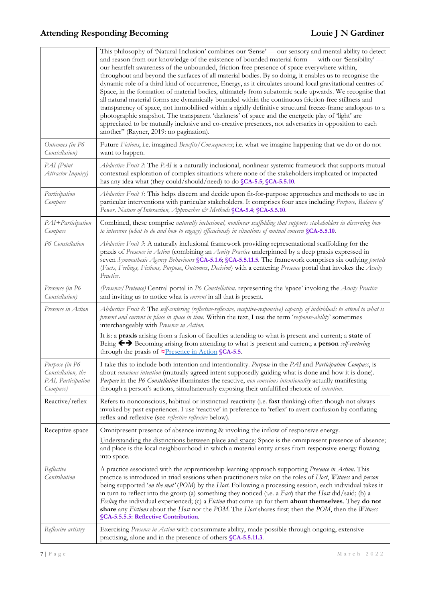|                                                                        | This philosophy of 'Natural Inclusion' combines our 'Sense' — our sensory and mental ability to detect<br>and reason from our knowledge of the existence of bounded material form — with our 'Sensibility' —<br>our heartfelt awareness of the unbounded, friction-free presence of space everywhere within,<br>throughout and beyond the surfaces of all material bodies. By so doing, it enables us to recognise the<br>dynamic role of a third kind of occurrence, Energy, as it circulates around local gravitational centres of<br>Space, in the formation of material bodies, ultimately from subatomic scale upwards. We recognise that<br>all natural material forms are dynamically bounded within the continuous friction-free stillness and<br>transparency of space, not immobilised within a rigidly definitive structural freeze-frame analogous to a<br>photographic snapshot. The transparent 'darkness' of space and the energetic play of 'light' are<br>appreciated to be mutually inclusive and co-creative presences, not adversaries in opposition to each<br>another" (Rayner, 2019: no pagination). |
|------------------------------------------------------------------------|-----------------------------------------------------------------------------------------------------------------------------------------------------------------------------------------------------------------------------------------------------------------------------------------------------------------------------------------------------------------------------------------------------------------------------------------------------------------------------------------------------------------------------------------------------------------------------------------------------------------------------------------------------------------------------------------------------------------------------------------------------------------------------------------------------------------------------------------------------------------------------------------------------------------------------------------------------------------------------------------------------------------------------------------------------------------------------------------------------------------------------|
| Outcomes (in P6<br>Constellation)                                      | Future Fictions, i.e. imagined Benefits/Consequences, i.e. what we imagine happening that we do or do not<br>want to happen.                                                                                                                                                                                                                                                                                                                                                                                                                                                                                                                                                                                                                                                                                                                                                                                                                                                                                                                                                                                                |
| PAI (Point<br>Attractor Inquiry)                                       | Abductive Fruit 2: The PAI is a naturally inclusional, nonlinear systemic framework that supports mutual<br>contextual exploration of complex situations where none of the stakeholders implicated or impacted<br>has any idea what (they could/should/need) to do SCA-5.5; SCA-5.5.10.                                                                                                                                                                                                                                                                                                                                                                                                                                                                                                                                                                                                                                                                                                                                                                                                                                     |
| Participation<br>Compass                                               | Abductive Fruit 1: This helps discern and decide upon fit-for-purpose approaches and methods to use in<br>particular interventions with particular stakeholders. It comprises four axes including Purpose, Balance of<br>Power, Nature of Interaction, Approaches & Methods SCA-5.4; SCA-5.5.10.                                                                                                                                                                                                                                                                                                                                                                                                                                                                                                                                                                                                                                                                                                                                                                                                                            |
| PAI+Participation<br>Compass                                           | Combined, these comprise naturally inclusional, nonlinear scaffolding that supports stakeholders in discerning how<br>to intervene (what to do and how to engage) efficaciously in situations of mutual concern SCA-5.5.10.                                                                                                                                                                                                                                                                                                                                                                                                                                                                                                                                                                                                                                                                                                                                                                                                                                                                                                 |
| P6 Constellation                                                       | Abductive Fruit 3: A naturally inclusional framework providing representational scaffolding for the<br>praxis of Presence in Action (combining an Acuity Practice underpinned by a deep praxis expressed in<br>seven Symmathesic Agency Behaviours §CA-5.1.6; §CA-5.5.11.5. The framework comprises six outlying portals<br>(Facts, Feelings, Fictions, Purpose, Outcomes, Decision) with a centering Presence portal that invokes the Acuity<br>Practice.                                                                                                                                                                                                                                                                                                                                                                                                                                                                                                                                                                                                                                                                  |
| Presence (in P6<br>Constellation)                                      | (Presence/Pretence) Central portal in P6 Constellation. representing the 'space' invoking the Acuity Practice<br>and inviting us to notice what is <i>current</i> in all that is present.                                                                                                                                                                                                                                                                                                                                                                                                                                                                                                                                                                                                                                                                                                                                                                                                                                                                                                                                   |
| Presence in Action                                                     | Abductive Fruit 8: The self-centering (reflective-reflexive, receptive-responsive) capacity of individuals to attend to what is<br>present and current in place in space in time. Within the text, I use the term 'response-ability' sometimes<br>interchangeably with Presence in Action.                                                                                                                                                                                                                                                                                                                                                                                                                                                                                                                                                                                                                                                                                                                                                                                                                                  |
|                                                                        | It is: a praxis arising from a fusion of faculties attending to what is present and current; a state of<br>Being ← > Becoming arising from attending to what is present and current; a person self-centering<br>through the praxis of $\approx$ Presence in Action SCA-5.5.                                                                                                                                                                                                                                                                                                                                                                                                                                                                                                                                                                                                                                                                                                                                                                                                                                                 |
| Purpose (in P6<br>Constellation, the<br>PAI, Participation<br>Compass) | I take this to include both intention and intentionality. Purpose in the PAI and Participation Compass, is<br>about conscious intention (mutually agreed intent supposedly guiding what is done and how it is done).<br>Purpose in the P6 Constellation illuminates the reactive, non-conscious intentionality actually manifesting<br>through a person's actions, simultaneously exposing their unfulfilled rhetoric of intention.                                                                                                                                                                                                                                                                                                                                                                                                                                                                                                                                                                                                                                                                                         |
| Reactive/reflex                                                        | Refers to nonconscious, habitual or instinctual reactivity (i.e. fast thinking) often though not always<br>invoked by past experiences. I use 'reactive' in preference to 'reflex' to avert confusion by conflating<br>reflex and reflexive (see reflective-reflexive below).                                                                                                                                                                                                                                                                                                                                                                                                                                                                                                                                                                                                                                                                                                                                                                                                                                               |
| Receptive space                                                        | Omnipresent presence of absence inviting & invoking the inflow of responsive energy.                                                                                                                                                                                                                                                                                                                                                                                                                                                                                                                                                                                                                                                                                                                                                                                                                                                                                                                                                                                                                                        |
|                                                                        | Understanding the distinctions between place and space: Space is the omnipresent presence of absence;<br>and place is the local neighbourhood in which a material entity arises from responsive energy flowing<br>into space.                                                                                                                                                                                                                                                                                                                                                                                                                                                                                                                                                                                                                                                                                                                                                                                                                                                                                               |
| Reflective<br>Contribution                                             | A practice associated with the apprenticeship learning approach supporting Presence in Action. This<br>practice is introduced in triad sessions when practitioners take on the roles of Host, Witness and person<br>being supported 'on the mat' (POM) by the Host. Following a processing session, each individual takes it<br>in turn to reflect into the group (a) something they noticed (i.e. a Fact) that the Host did/said; (b) a<br>Feeling the individual experienced; (c) a Fiction that came up for them about themselves. They do not<br>share any Fictions about the Host nor the POM. The Host shares first; then the POM, then the Witness<br><b>SCA-5.5.5.5: Reflective Contribution.</b>                                                                                                                                                                                                                                                                                                                                                                                                                   |
| Reflexive artistry                                                     | Exercising Presence in Action with consummate ability, made possible through ongoing, extensive<br>practising, alone and in the presence of others SCA-5.5.11.3.                                                                                                                                                                                                                                                                                                                                                                                                                                                                                                                                                                                                                                                                                                                                                                                                                                                                                                                                                            |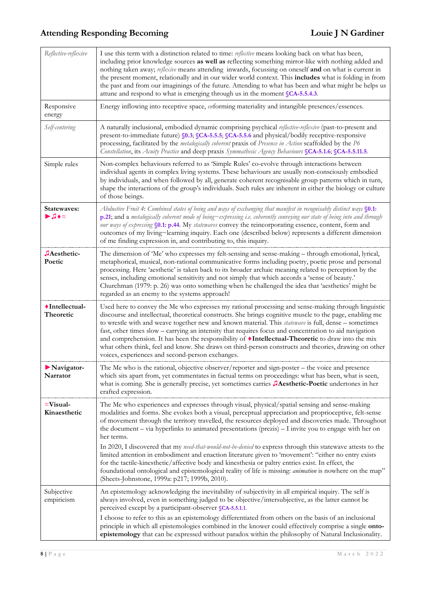| Reflective-reflexive                                         | I use this term with a distinction related to time: reflective means looking back on what has been,<br>including prior knowledge sources as well as reflecting something mirror-like with nothing added and<br>nothing taken away; reflexive means attending inwards, focussing on oneself and on what is current in<br>the present moment, relationally and in our wider world context. This includes what is folding in from<br>the past and from our imaginings of the future. Attending to what has been and what might be helps us<br>attune and respond to what is emerging through us in the moment SCA-5.5.4.3.                                                                                                                                                                                                                                                                                                                    |
|--------------------------------------------------------------|--------------------------------------------------------------------------------------------------------------------------------------------------------------------------------------------------------------------------------------------------------------------------------------------------------------------------------------------------------------------------------------------------------------------------------------------------------------------------------------------------------------------------------------------------------------------------------------------------------------------------------------------------------------------------------------------------------------------------------------------------------------------------------------------------------------------------------------------------------------------------------------------------------------------------------------------|
| Responsive<br>energy                                         | Energy inflowing into receptive space, enforming materiality and intangible presences/essences.                                                                                                                                                                                                                                                                                                                                                                                                                                                                                                                                                                                                                                                                                                                                                                                                                                            |
| Self-centering                                               | A naturally inclusional, embodied dynamic comprising psychical reflective-reflexive (past-to-present and<br>present-to-immediate future) §0.3; §CA-5.5.5; §CA-5.5.6 and physical/bodily receptive-responsive<br>processing, facilitated by the metalogically coherent praxis of Presence in Action scaffolded by the P6<br>Constellation, its Acuity Practice and deep praxis Symmathesic Agency Behaviours SCA-5.1.6; SCA-5.5.11.5.                                                                                                                                                                                                                                                                                                                                                                                                                                                                                                       |
| Simple rules                                                 | Non-complex behaviours referred to as 'Simple Rules' co-evolve through interactions between<br>individual agents in complex living systems. These behaviours are usually non-consciously embodied<br>by individuals, and when followed by all, generate coherent recognisable group patterns which in turn,<br>shape the interactions of the group's individuals. Such rules are inherent in either the biology or culture<br>of those beings.                                                                                                                                                                                                                                                                                                                                                                                                                                                                                             |
| Statewayes:<br>$\blacktriangleright$ , $\blacktriangleright$ | Abductive Fruit 4: Combined states of being and ways of exchanging that manifest in recognisably distinct ways §0.1:<br>p.21; and a metalogically coherent mode of being~expressing i.e. coherently conveying our state of being into and through<br>our ways of expressing §0.1: p.44. My statewaves convey the reincorporating essence, content, form and<br>outcomes of my living~learning inquiry. Each one (described below) represents a different dimension<br>of me finding expression in, and contributing to, this inquiry.                                                                                                                                                                                                                                                                                                                                                                                                      |
| JAesthetic-<br>Poetic                                        | The dimension of 'Me' who expresses my felt-sensing and sense-making - through emotional, lyrical,<br>metaphorical, musical, non-rational communicative forms including poetry, poetic prose and personal<br>processing. Here 'aesthetic' is taken back to its broader archaic meaning related to perception by the<br>senses, including emotional sensitivity and not simply that which accords a 'sense of beauty.'<br>Churchman (1979: p. 26) was onto something when he challenged the idea that 'aesthetics' might be<br>regarded as an enemy to the systems approach!                                                                                                                                                                                                                                                                                                                                                                |
| ◆Intellectual-<br>Theoretic                                  | Used here to convey the Me who expresses my rational processing and sense-making through linguistic<br>discourse and intellectual, theoretical constructs. She brings cognitive muscle to the page, enabling me<br>to wrestle with and weave together new and known material. This <i>statewave</i> is full, dense - sometimes<br>fast, other times slow - carrying an intensity that requires focus and concentration to aid navigation<br>and comprehension. It has been the responsibility of <i>Intellectual-Theoretic</i> to draw into the mix<br>what others think, feel and know. She draws on third-person constructs and theories, drawing on other<br>voices, experiences and second-person exchanges.                                                                                                                                                                                                                           |
| $\blacktriangleright$ Navigator-<br>Narrator                 | The Me who is the rational, objective observer/reporter and sign-poster - the voice and presence<br>which sits apart from, yet commentates in factual terms on proceedings: what has been, what is seen,<br>what is coming. She is generally precise, yet sometimes carries JAesthetic-Poetic undertones in her<br>crafted expression.                                                                                                                                                                                                                                                                                                                                                                                                                                                                                                                                                                                                     |
| $\approx$ Visual-<br>Kinaesthetic                            | The Me who experiences and expresses through visual, physical/spatial sensing and sense-making<br>modalities and forms. She evokes both a visual, perceptual appreciation and proprioceptive, felt-sense<br>of movement through the territory travelled, the resources deployed and discoveries made. Throughout<br>the document - via hyperlinks to animated presentations (prezis) - I invite you to engage with her on<br>her terms.<br>In 2020, I discovered that my need-that-would-not-be-denied to express through this statewave attests to the<br>limited attention in embodiment and enaction literature given to 'movement': "either no entry exists<br>for the tactile-kinesthetic/affective body and kinesthesia or paltry entries exist. In effect, the<br>foundational ontological and epistemological reality of life is missing: <i>animation</i> is nowhere on the map"<br>(Sheets-Johnstone, 1999a: p217; 1999b, 2010). |
| Subjective<br>empiricism                                     | An epistemology acknowledging the inevitability of subjectivity in all empirical inquiry. The self is<br>always involved, even in something judged to be objective/intersubjective, as the latter cannot be<br>perceived except by a participant-observer SCA-5.5.1.1.<br>I choose to refer to this as an epistemology differentiated from others on the basis of an inclusional<br>principle in which all epistemologies combined in the knower could effectively comprise a single onto-<br>epistemology that can be expressed without paradox within the philosophy of Natural Inclusionality.                                                                                                                                                                                                                                                                                                                                          |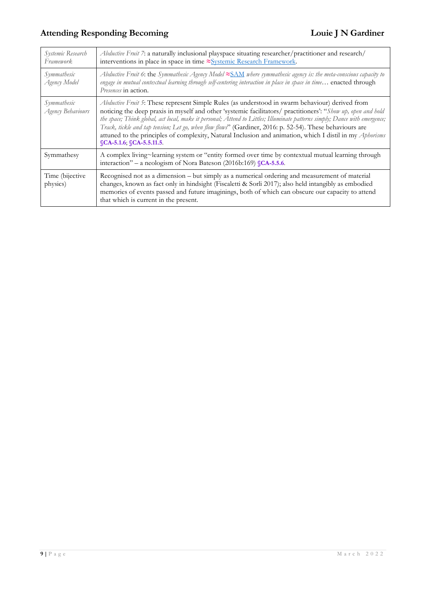| Systemic Research<br>Framework.  | Abductive Fruit 7: a naturally inclusional playspace situating researcher/practitioner and research/<br>interventions in place in space in time ≈Systemic Research Framework.                                                                                                                                                                                                                                                                                                                                                                                                                    |
|----------------------------------|--------------------------------------------------------------------------------------------------------------------------------------------------------------------------------------------------------------------------------------------------------------------------------------------------------------------------------------------------------------------------------------------------------------------------------------------------------------------------------------------------------------------------------------------------------------------------------------------------|
| Symmathesic<br>Agency Model      | Abductive Fruit 6: the Symmathesic Agency Model $\approx$ SAM where symmathesic agency is: the meta-conscious capacity to<br>engage in mutual contextual learning through self-centering interaction in place in space in time enacted through<br>Presences in action.                                                                                                                                                                                                                                                                                                                           |
| Symmathesic<br>Agency Behaviours | Abductive Fruit 5: These represent Simple Rules (as understood in swarm behaviour) derived from<br>noticing the deep praxis in myself and other 'systemic facilitators/ practitioners': "Show up, open and hold<br>the space; Think global, act local, make it personal; Attend to Littles; Illuminate patterns simply; Dance with emergence;<br>Track, tickle and tap tension; Let go, when flow flows" (Gardiner, 2016: p. 52-54). These behaviours are<br>attuned to the principles of complexity, Natural Inclusion and animation, which I distil in my Aphorisms<br>SCA-5.1.6, SCA-5.5.11.5 |
| Symmathesy                       | A complex living~learning system or "entity formed over time by contextual mutual learning through<br>interaction" – a neologism of Nora Bateson (2016b:169) SCA-5.5.6.                                                                                                                                                                                                                                                                                                                                                                                                                          |
| Time (bijective<br>physics)      | Recognised not as a dimension – but simply as a numerical ordering and measurement of material<br>changes, known as fact only in hindsight (Fiscaletti & Sorli 2017); also held intangibly as embodied<br>memories of events passed and future imaginings, both of which can obscure our capacity to attend<br>that which is current in the present.                                                                                                                                                                                                                                             |